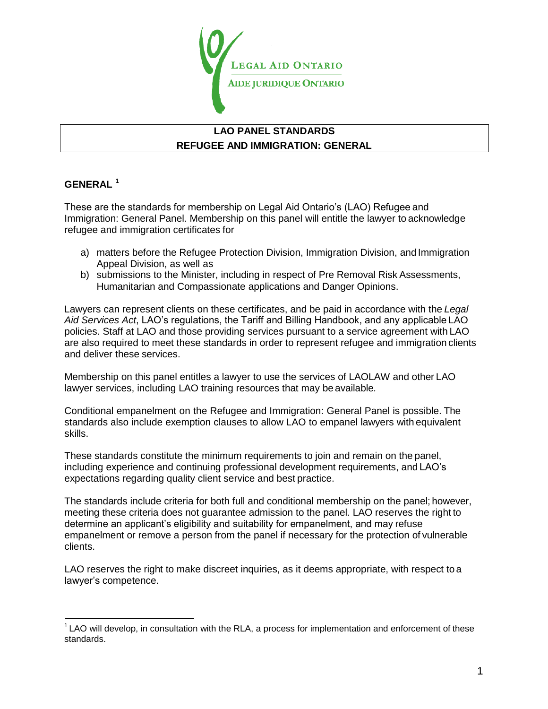

# **LAO PANEL STANDARDS REFUGEE AND IMMIGRATION: GENERAL**

### **GENERAL [1](#page-0-0)**

These are the standards for membership on Legal Aid Ontario"s (LAO) Refugee and Immigration: General Panel. Membership on this panel will entitle the lawyer to acknowledge refugee and immigration certificates for

- a) matters before the Refugee Protection Division, Immigration Division, and Immigration Appeal Division, as well as
- b) submissions to the Minister, including in respect of Pre Removal Risk Assessments, Humanitarian and Compassionate applications and Danger Opinions.

Lawyers can represent clients on these certificates, and be paid in accordance with the *Legal Aid Services Act*, LAO"s regulations, the Tariff and Billing Handbook, and any applicable LAO policies. Staff at LAO and those providing services pursuant to a service agreement with LAO are also required to meet these standards in order to represent refugee and immigration clients and deliver these services.

Membership on this panel entitles a lawyer to use the services of LAOLAW and other LAO lawyer services, including LAO training resources that may be available*.*

Conditional empanelment on the Refugee and Immigration: General Panel is possible. The standards also include exemption clauses to allow LAO to empanel lawyers with equivalent skills.

These standards constitute the minimum requirements to join and remain on the panel, including experience and continuing professional development requirements, and LAO"s expectations regarding quality client service and best practice.

The standards include criteria for both full and conditional membership on the panel; however, meeting these criteria does not guarantee admission to the panel. LAO reserves the right to determine an applicant"s eligibility and suitability for empanelment, and may refuse empanelment or remove a person from the panel if necessary for the protection of vulnerable clients.

LAO reserves the right to make discreet inquiries, as it deems appropriate, with respect to a lawyer's competence.

<span id="page-0-0"></span> $1$  LAO will develop, in consultation with the RLA, a process for implementation and enforcement of these standards.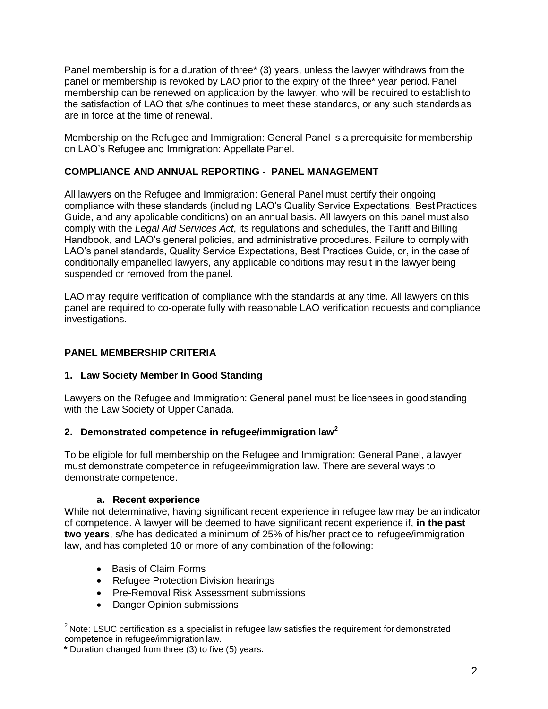Panel membership is for a duration of three\* (3) years, unless the lawyer withdraws from the panel or membership is revoked by LAO prior to the expiry of the three\* year period. Panel membership can be renewed on application by the lawyer, who will be required to establish to the satisfaction of LAO that s/he continues to meet these standards, or any such standards as are in force at the time of renewal.

Membership on the Refugee and Immigration: General Panel is a prerequisite for membership on LAO"s Refugee and Immigration: Appellate Panel.

# **COMPLIANCE AND ANNUAL REPORTING - PANEL MANAGEMENT**

All lawyers on the Refugee and Immigration: General Panel must certify their ongoing compliance with these standards (including LAO"s Quality Service Expectations, Best Practices Guide, and any applicable conditions) on an annual basis**.** All lawyers on this panel must also comply with the *Legal Aid Services Act*, its regulations and schedules, the Tariff and Billing Handbook, and LAO"s general policies, and administrative procedures. Failure to comply with LAO"s panel standards, Quality Service Expectations, Best Practices Guide, or, in the case of conditionally empanelled lawyers, any applicable conditions may result in the lawyer being suspended or removed from the panel.

LAO may require verification of compliance with the standards at any time. All lawyers on this panel are required to co-operate fully with reasonable LAO verification requests and compliance investigations.

# **PANEL MEMBERSHIP CRITERIA**

## **1. Law Society Member In Good Standing**

Lawyers on the Refugee and Immigration: General panel must be licensees in good standing with the Law Society of Upper Canada.

## **2. Demonstrated competence in refugee/immigration la[w](#page-1-0)<sup>2</sup>**

To be eligible for full membership on the Refugee and Immigration: General Panel, a lawyer must demonstrate competence in refugee/immigration law. There are several ways to demonstrate competence.

## **a. Recent experience**

While not determinative, having significant recent experience in refugee law may be an indicator of competence. A lawyer will be deemed to have significant recent experience if, **in the past two years**, s/he has dedicated a minimum of 25% of his/her practice to refugee/immigration law, and has completed 10 or more of any combination of the following:

- Basis of Claim Forms
- Refugee Protection Division hearings
- Pre-Removal Risk Assessment submissions
- Danger Opinion submissions

<span id="page-1-0"></span> $2$  Note: LSUC certification as a specialist in refugee law satisfies the requirement for demonstrated competence in refugee/immigration law.

**\*** Duration changed from three (3) to five (5) years.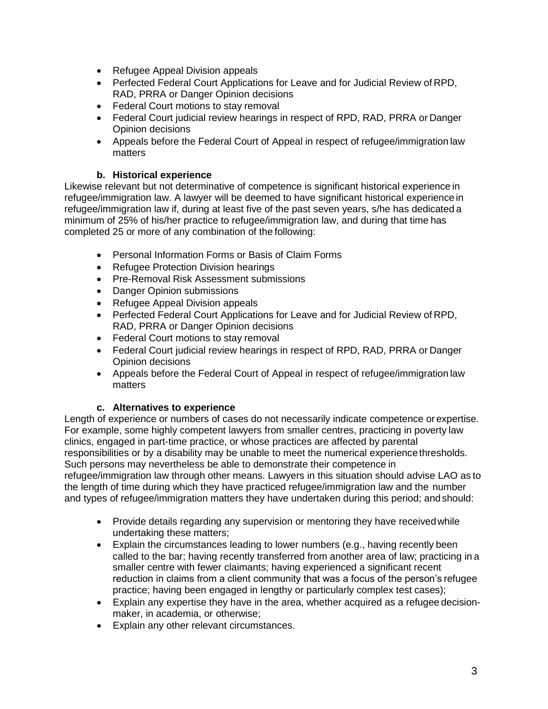- Refugee Appeal Division appeals
- Perfected Federal Court Applications for Leave and for Judicial Review of RPD, RAD, PRRA or Danger Opinion decisions
- Federal Court motions to stay removal
- Federal Court judicial review hearings in respect of RPD, RAD, PRRA or Danger Opinion decisions
- Appeals before the Federal Court of Appeal in respect of refugee/immigration law matters

## **b. Historical experience**

Likewise relevant but not determinative of competence is significant historical experience in refugee/immigration law. A lawyer will be deemed to have significant historical experience in refugee/immigration law if, during at least five of the past seven years, s/he has dedicated a minimum of 25% of his/her practice to refugee/immigration law, and during that time has completed 25 or more of any combination of the following:

- Personal Information Forms or Basis of Claim Forms
- Refugee Protection Division hearings
- Pre-Removal Risk Assessment submissions
- Danger Opinion submissions
- Refugee Appeal Division appeals
- Perfected Federal Court Applications for Leave and for Judicial Review of RPD, RAD, PRRA or Danger Opinion decisions
- Federal Court motions to stay removal
- Federal Court judicial review hearings in respect of RPD, RAD, PRRA or Danger Opinion decisions
- Appeals before the Federal Court of Appeal in respect of refugee/immigration law matters

## **c. Alternatives to experience**

Length of experience or numbers of cases do not necessarily indicate competence or expertise. For example, some highly competent lawyers from smaller centres, practicing in poverty law clinics, engaged in part-time practice, or whose practices are affected by parental responsibilities or by a disability may be unable to meet the numerical experience thresholds. Such persons may nevertheless be able to demonstrate their competence in refugee/immigration law through other means. Lawyers in this situation should advise LAO as to the length of time during which they have practiced refugee/immigration law and the number and types of refugee/immigration matters they have undertaken during this period; and should:

- Provide details regarding any supervision or mentoring they have received while undertaking these matters;
- Explain the circumstances leading to lower numbers (e.g., having recently been called to the bar; having recently transferred from another area of law; practicing in a smaller centre with fewer claimants; having experienced a significant recent reduction in claims from a client community that was a focus of the person"s refugee practice; having been engaged in lengthy or particularly complex test cases);
- Explain any expertise they have in the area, whether acquired as a refugee decisionmaker, in academia, or otherwise;
- Explain any other relevant circumstances.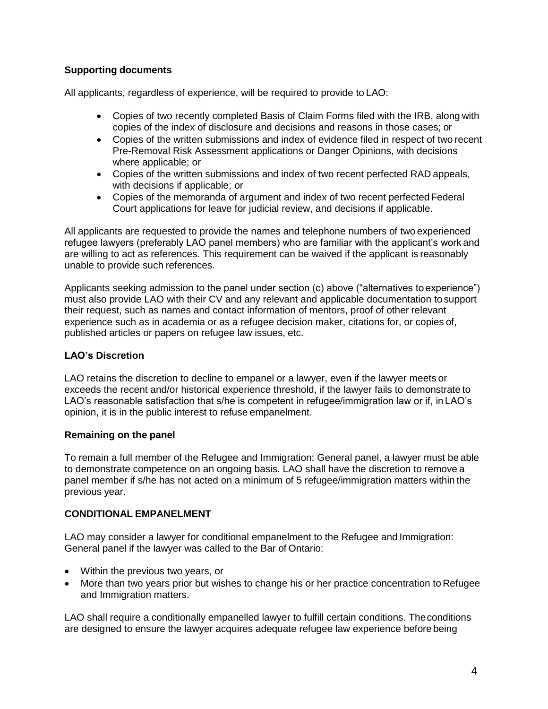## **Supporting documents**

All applicants, regardless of experience, will be required to provide to LAO:

- Copies of two recently completed Basis of Claim Forms filed with the IRB, along with copies of the index of disclosure and decisions and reasons in those cases; or
- Copies of the written submissions and index of evidence filed in respect of two recent Pre-Removal Risk Assessment applications or Danger Opinions, with decisions where applicable; or
- Copies of the written submissions and index of two recent perfected RAD appeals, with decisions if applicable; or
- Copies of the memoranda of argument and index of two recent perfected Federal Court applications for leave for judicial review, and decisions if applicable.

All applicants are requested to provide the names and telephone numbers of two experienced refugee lawyers (preferably LAO panel members) who are familiar with the applicant's work and are willing to act as references. This requirement can be waived if the applicant is reasonably unable to provide such references.

Applicants seeking admission to the panel under section (c) above ("alternatives to experience") must also provide LAO with their CV and any relevant and applicable documentation to support their request, such as names and contact information of mentors, proof of other relevant experience such as in academia or as a refugee decision maker, citations for, or copies of, published articles or papers on refugee law issues, etc.

## **LAO's Discretion**

LAO retains the discretion to decline to empanel or a lawyer, even if the lawyer meets or exceeds the recent and/or historical experience threshold, if the lawyer fails to demonstrate to LAO's reasonable satisfaction that s/he is competent in refugee/immigration law or if, in LAO's opinion, it is in the public interest to refuse empanelment.

### **Remaining on the panel**

To remain a full member of the Refugee and Immigration: General panel, a lawyer must be able to demonstrate competence on an ongoing basis. LAO shall have the discretion to remove a panel member if s/he has not acted on a minimum of 5 refugee/immigration matters within the previous year.

## **CONDITIONAL EMPANELMENT**

LAO may consider a lawyer for conditional empanelment to the Refugee and Immigration: General panel if the lawyer was called to the Bar of Ontario:

- Within the previous two years, or
- More than two years prior but wishes to change his or her practice concentration to Refugee and Immigration matters.

LAO shall require a conditionally empanelled lawyer to fulfill certain conditions. The conditions are designed to ensure the lawyer acquires adequate refugee law experience before being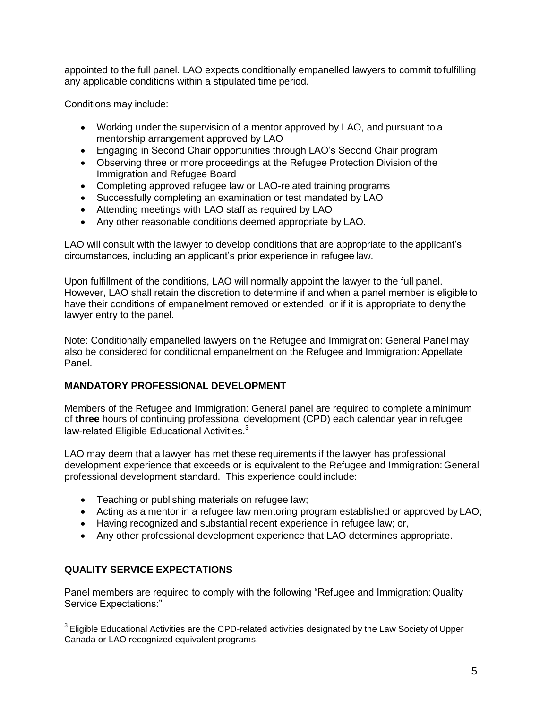appointed to the full panel. LAO expects conditionally empanelled lawyers to commit to fulfilling any applicable conditions within a stipulated time period.

Conditions may include:

- Working under the supervision of a mentor approved by LAO, and pursuant to a mentorship arrangement approved by LAO
- Engaging in Second Chair opportunities through LAO"s Second Chair program
- Observing three or more proceedings at the Refugee Protection Division of the Immigration and Refugee Board
- Completing approved refugee law or LAO-related training programs
- Successfully completing an examination or test mandated by LAO
- Attending meetings with LAO staff as required by LAO
- Any other reasonable conditions deemed appropriate by LAO.

LAO will consult with the lawyer to develop conditions that are appropriate to the applicant"s circumstances, including an applicant"s prior experience in refugee law.

Upon fulfillment of the conditions, LAO will normally appoint the lawyer to the full panel. However, LAO shall retain the discretion to determine if and when a panel member is eligible to have their conditions of empanelment removed or extended, or if it is appropriate to deny the lawyer entry to the panel.

Note: Conditionally empanelled lawyers on the Refugee and Immigration: General Panel may also be considered for conditional empanelment on the Refugee and Immigration: Appellate Panel.

### **MANDATORY PROFESSIONAL DEVELOPMENT**

Members of the Refugee and Immigration: General panel are required to complete a minimum of **three** hours of continuing professional development (CPD) each calendar year in refugee law-related Eligible Educational Activities.<sup>[3](#page-4-0)</sup>

LAO may deem that a lawyer has met these requirements if the lawyer has professional development experience that exceeds or is equivalent to the Refugee and Immigration: General professional development standard. This experience could include:

- Teaching or publishing materials on refugee law;
- Acting as a mentor in a refugee law mentoring program established or approved by LAO;
- Having recognized and substantial recent experience in refugee law; or,
- Any other professional development experience that LAO determines appropriate.

## **QUALITY SERVICE EXPECTATIONS**

Panel members are required to comply with the following "Refugee and Immigration: Quality Service Expectations:"

<span id="page-4-0"></span><sup>&</sup>lt;sup>3</sup> Eligible Educational Activities are the CPD-related activities designated by the Law Society of Upper Canada or LAO recognized equivalent programs.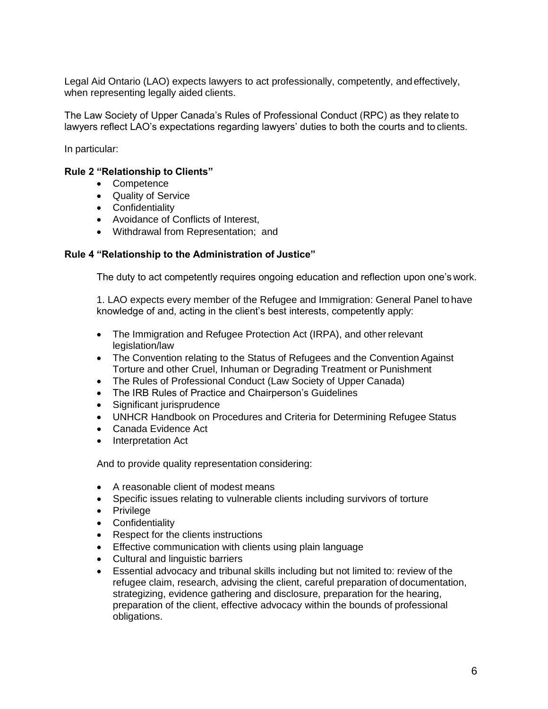Legal Aid Ontario (LAO) expects lawyers to act professionally, competently, and effectively, when representing legally aided clients.

The Law Society of Upper Canada"s Rules of Professional Conduct (RPC) as they relate to lawyers reflect LAO"s expectations regarding lawyers" duties to both the courts and to clients.

In particular:

#### **Rule 2 "Relationship to Clients"**

- Competence
- Quality of Service
- **•** Confidentiality
- Avoidance of Conflicts of Interest,
- Withdrawal from Representation; and

#### **Rule 4 "Relationship to the Administration of Justice"**

The duty to act competently requires ongoing education and reflection upon one"s work.

1. LAO expects every member of the Refugee and Immigration: General Panel to have knowledge of and, acting in the client"s best interests, competently apply:

- The Immigration and Refugee Protection Act (IRPA), and other relevant legislation/law
- The Convention relating to the Status of Refugees and the Convention Against Torture and other Cruel, Inhuman or Degrading Treatment or Punishment
- The Rules of Professional Conduct (Law Society of Upper Canada)
- The IRB Rules of Practice and Chairperson's Guidelines
- Significant jurisprudence
- UNHCR Handbook on Procedures and Criteria for Determining Refugee Status
- Canada Evidence Act
- Interpretation Act

And to provide quality representation considering:

- A reasonable client of modest means
- Specific issues relating to vulnerable clients including survivors of torture
- Privilege
- Confidentiality
- Respect for the clients instructions
- **Effective communication with clients using plain language**
- Cultural and linguistic barriers
- Essential advocacy and tribunal skills including but not limited to: review of the refugee claim, research, advising the client, careful preparation of documentation, strategizing, evidence gathering and disclosure, preparation for the hearing, preparation of the client, effective advocacy within the bounds of professional obligations.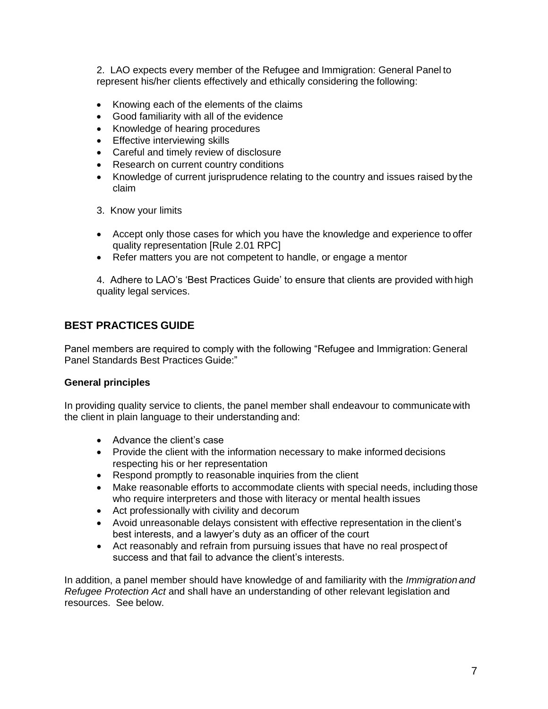2. LAO expects every member of the Refugee and Immigration: General Panel to represent his/her clients effectively and ethically considering the following:

- Knowing each of the elements of the claims
- Good familiarity with all of the evidence
- Knowledge of hearing procedures
- Effective interviewing skills
- Careful and timely review of disclosure
- Research on current country conditions
- Knowledge of current jurisprudence relating to the country and issues raised by the claim
- 3. Know your limits
- Accept only those cases for which you have the knowledge and experience to offer quality representation [Rule 2.01 RPC]
- Refer matters you are not competent to handle, or engage a mentor

4. Adhere to LAO"s "Best Practices Guide" to ensure that clients are provided with high quality legal services.

# **BEST PRACTICES GUIDE**

Panel members are required to comply with the following "Refugee and Immigration: General Panel Standards Best Practices Guide:"

### **General principles**

In providing quality service to clients, the panel member shall endeavour to communicate with the client in plain language to their understanding and:

- Advance the client's case
- Provide the client with the information necessary to make informed decisions respecting his or her representation
- Respond promptly to reasonable inquiries from the client
- Make reasonable efforts to accommodate clients with special needs, including those who require interpreters and those with literacy or mental health issues
- Act professionally with civility and decorum
- Avoid unreasonable delays consistent with effective representation in the client"s best interests, and a lawyer"s duty as an officer of the court
- Act reasonably and refrain from pursuing issues that have no real prospect of success and that fail to advance the client's interests.

In addition, a panel member should have knowledge of and familiarity with the *Immigration and Refugee Protection Act* and shall have an understanding of other relevant legislation and resources. See below.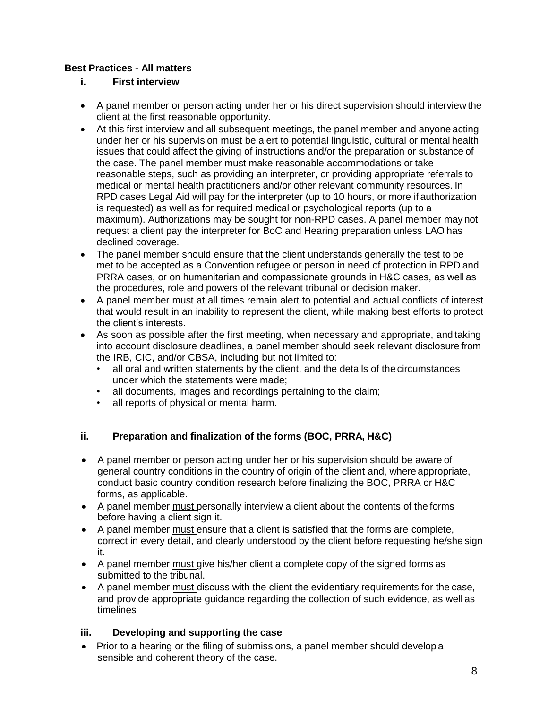# **Best Practices - All matters**

# **i. First interview**

- A panel member or person acting under her or his direct supervision should interview the client at the first reasonable opportunity.
- At this first interview and all subsequent meetings, the panel member and anyone acting under her or his supervision must be alert to potential linguistic, cultural or mental health issues that could affect the giving of instructions and/or the preparation or substance of the case. The panel member must make reasonable accommodations or take reasonable steps, such as providing an interpreter, or providing appropriate referrals to medical or mental health practitioners and/or other relevant community resources. In RPD cases Legal Aid will pay for the interpreter (up to 10 hours, or more if authorization is requested) as well as for required medical or psychological reports (up to a maximum). Authorizations may be sought for non-RPD cases. A panel member may not request a client pay the interpreter for BoC and Hearing preparation unless LAO has declined coverage.
- The panel member should ensure that the client understands generally the test to be met to be accepted as a Convention refugee or person in need of protection in RPD and PRRA cases, or on humanitarian and compassionate grounds in H&C cases, as well as the procedures, role and powers of the relevant tribunal or decision maker.
- A panel member must at all times remain alert to potential and actual conflicts of interest that would result in an inability to represent the client, while making best efforts to protect the client"s interests.
- As soon as possible after the first meeting, when necessary and appropriate, and taking into account disclosure deadlines, a panel member should seek relevant disclosure from the IRB, CIC, and/or CBSA, including but not limited to:
	- all oral and written statements by the client, and the details of the circumstances under which the statements were made;
	- all documents, images and recordings pertaining to the claim;
	- all reports of physical or mental harm.

## **ii. Preparation and finalization of the forms (BOC, PRRA, H&C)**

- A panel member or person acting under her or his supervision should be aware of general country conditions in the country of origin of the client and, where appropriate, conduct basic country condition research before finalizing the BOC, PRRA or H&C forms, as applicable.
- A panel member must personally interview a client about the contents of the forms before having a client sign it.
- A panel member must ensure that a client is satisfied that the forms are complete, correct in every detail, and clearly understood by the client before requesting he/she sign it.
- A panel member must give his/her client a complete copy of the signed forms as submitted to the tribunal.
- A panel member must discuss with the client the evidentiary requirements for the case, and provide appropriate guidance regarding the collection of such evidence, as well as timelines

## **iii. Developing and supporting the case**

• Prior to a hearing or the filing of submissions, a panel member should develop a sensible and coherent theory of the case.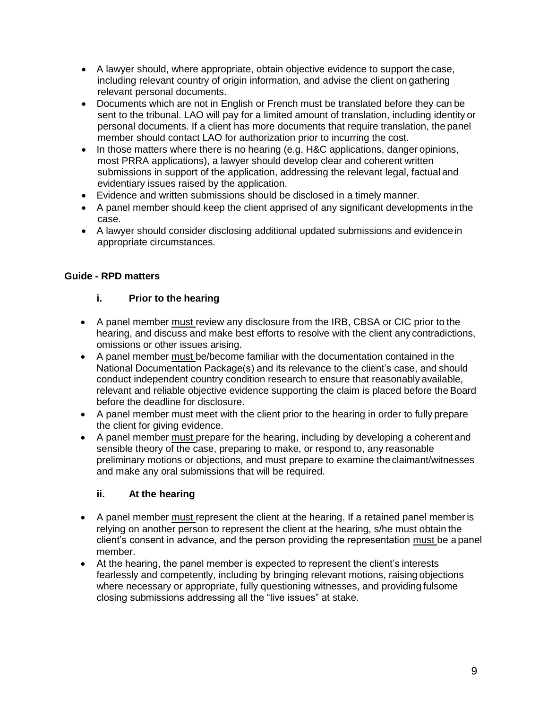- A lawyer should, where appropriate, obtain objective evidence to support the case, including relevant country of origin information, and advise the client on gathering relevant personal documents.
- Documents which are not in English or French must be translated before they can be sent to the tribunal. LAO will pay for a limited amount of translation, including identity or personal documents. If a client has more documents that require translation, the panel member should contact LAO for authorization prior to incurring the cost.
- In those matters where there is no hearing (e.g. H&C applications, danger opinions, most PRRA applications), a lawyer should develop clear and coherent written submissions in support of the application, addressing the relevant legal, factual and evidentiary issues raised by the application.
- Evidence and written submissions should be disclosed in a timely manner.
- A panel member should keep the client apprised of any significant developments in the case.
- A lawyer should consider disclosing additional updated submissions and evidence in appropriate circumstances.

### **Guide - RPD matters**

### **i. Prior to the hearing**

- A panel member must review any disclosure from the IRB, CBSA or CIC prior to the hearing, and discuss and make best efforts to resolve with the client any contradictions, omissions or other issues arising.
- A panel member must be/become familiar with the documentation contained in the National Documentation Package(s) and its relevance to the client"s case, and should conduct independent country condition research to ensure that reasonably available, relevant and reliable objective evidence supporting the claim is placed before the Board before the deadline for disclosure.
- A panel member must meet with the client prior to the hearing in order to fully prepare the client for giving evidence.
- A panel member must prepare for the hearing, including by developing a coherent and sensible theory of the case, preparing to make, or respond to, any reasonable preliminary motions or objections, and must prepare to examine the claimant/witnesses and make any oral submissions that will be required.

### **ii. At the hearing**

- A panel member must represent the client at the hearing. If a retained panel member is relying on another person to represent the client at the hearing, s/he must obtain the client"s consent in advance, and the person providing the representation must be a panel member.
- At the hearing, the panel member is expected to represent the client"s interests fearlessly and competently, including by bringing relevant motions, raising objections where necessary or appropriate, fully questioning witnesses, and providing fulsome closing submissions addressing all the "live issues" at stake.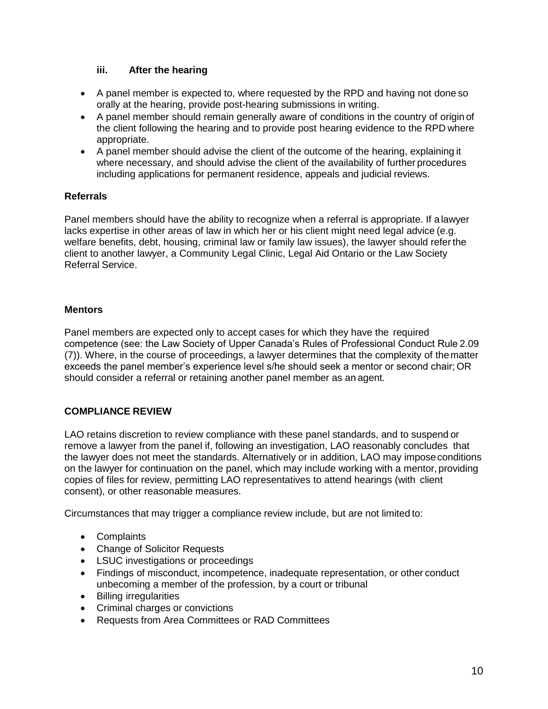### **iii. After the hearing**

- A panel member is expected to, where requested by the RPD and having not done so orally at the hearing, provide post-hearing submissions in writing.
- A panel member should remain generally aware of conditions in the country of origin of the client following the hearing and to provide post hearing evidence to the RPD where appropriate.
- A panel member should advise the client of the outcome of the hearing, explaining it where necessary, and should advise the client of the availability of further procedures including applications for permanent residence, appeals and judicial reviews.

### **Referrals**

Panel members should have the ability to recognize when a referral is appropriate. If a lawyer lacks expertise in other areas of law in which her or his client might need legal advice (e.g. welfare benefits, debt, housing, criminal law or family law issues), the lawyer should refer the client to another lawyer, a Community Legal Clinic, Legal Aid Ontario or the Law Society Referral Service.

### **Mentors**

Panel members are expected only to accept cases for which they have the required competence (see: the Law Society of Upper Canada"s Rules of Professional Conduct Rule 2.09 (7)). Where, in the course of proceedings, a lawyer determines that the complexity of the matter exceeds the panel member"s experience level s/he should seek a mentor or second chair; OR should consider a referral or retaining another panel member as an agent.

## **COMPLIANCE REVIEW**

LAO retains discretion to review compliance with these panel standards, and to suspend or remove a lawyer from the panel if, following an investigation, LAO reasonably concludes that the lawyer does not meet the standards. Alternatively or in addition, LAO may impose conditions on the lawyer for continuation on the panel, which may include working with a mentor, providing copies of files for review, permitting LAO representatives to attend hearings (with client consent), or other reasonable measures.

Circumstances that may trigger a compliance review include, but are not limited to:

- Complaints
- Change of Solicitor Requests
- LSUC investigations or proceedings
- Findings of misconduct, incompetence, inadequate representation, or other conduct unbecoming a member of the profession, by a court or tribunal
- Billing irregularities
- Criminal charges or convictions
- Requests from Area Committees or RAD Committees